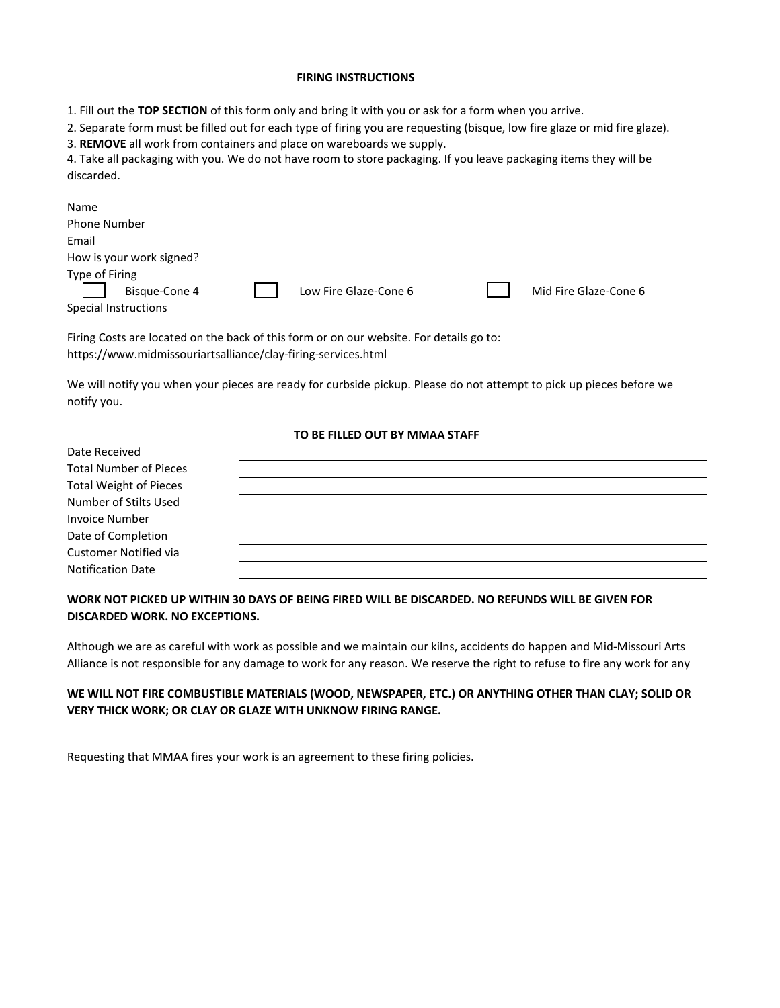#### **FIRING INSTRUCTIONS**

1. Fill out the **TOP SECTION** of this form only and bring it with you or ask for a form when you arrive.

2. Separate form must be filled out for each type of firing you are requesting (bisque, low fire glaze or mid fire glaze).

3. **REMOVE** all work from containers and place on wareboards we supply.

4. Take all packaging with you. We do not have room to store packaging. If you leave packaging items they will be discarded.

| Name                                                    |                       |  |                       |
|---------------------------------------------------------|-----------------------|--|-----------------------|
| <b>Phone Number</b>                                     |                       |  |                       |
| Email                                                   |                       |  |                       |
| How is your work signed?                                |                       |  |                       |
| Type of Firing<br>Bisque-Cone 4<br>Special Instructions | Low Fire Glaze-Cone 6 |  | Mid Fire Glaze-Cone 6 |

Firing Costs are located on the back of this form or on our website. For details go to: https://www.midmissouriartsalliance/clay-firing-services.html

We will notify you when your pieces are ready for curbside pickup. Please do not attempt to pick up pieces before we notify you.

# **TO BE FILLED OUT BY MMAA STAFF**

| Date Received                 |  |
|-------------------------------|--|
| <b>Total Number of Pieces</b> |  |
| <b>Total Weight of Pieces</b> |  |
| Number of Stilts Used         |  |
| <b>Invoice Number</b>         |  |
| Date of Completion            |  |
| <b>Customer Notified via</b>  |  |
| <b>Notification Date</b>      |  |

### **WORK NOT PICKED UP WITHIN 30 DAYS OF BEING FIRED WILL BE DISCARDED. NO REFUNDS WILL BE GIVEN FOR DISCARDED WORK. NO EXCEPTIONS.**

Although we are as careful with work as possible and we maintain our kilns, accidents do happen and Mid-Missouri Arts Alliance is not responsible for any damage to work for any reason. We reserve the right to refuse to fire any work for any

### **WE WILL NOT FIRE COMBUSTIBLE MATERIALS (WOOD, NEWSPAPER, ETC.) OR ANYTHING OTHER THAN CLAY; SOLID OR VERY THICK WORK; OR CLAY OR GLAZE WITH UNKNOW FIRING RANGE.**

Requesting that MMAA fires your work is an agreement to these firing policies.